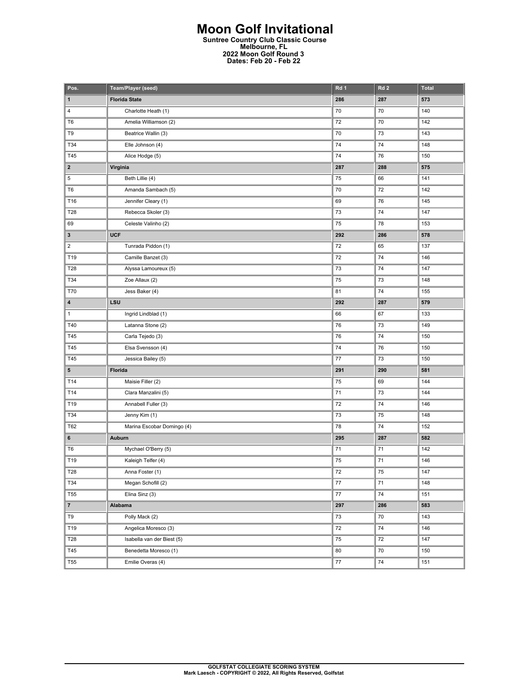## **Moon Golf Invitational Suntree Country Club Classic Course Melbourne, FL 2022 Moon Golf Round 3 Dates: Feb 20 - Feb 22**

| Pos.                    | Team/Player (seed)         | Rd 1 | Rd <sub>2</sub> | <b>Total</b> |
|-------------------------|----------------------------|------|-----------------|--------------|
| 1                       | <b>Florida State</b>       | 286  | 287             | 573          |
| 4                       | Charlotte Heath (1)        | 70   | 70              | 140          |
| T <sub>6</sub>          | Amelia Williamson (2)      | 72   | 70              | 142          |
| T9                      | Beatrice Wallin (3)        | 70   | 73              | 143          |
| T34                     | Elle Johnson (4)           | 74   | 74              | 148          |
| T45                     | Alice Hodge (5)            | 74   | 76              | 150          |
| $\overline{\mathbf{2}}$ | Virginia                   | 287  | 288             | 575          |
| 5                       | Beth Lillie (4)            | 75   | 66              | 141          |
| T <sub>6</sub>          | Amanda Sambach (5)         | 70   | 72              | 142          |
| T16                     | Jennifer Cleary (1)        | 69   | 76              | 145          |
| T28                     | Rebecca Skoler (3)         | 73   | 74              | 147          |
| 69                      | Celeste Valinho (2)        | 75   | 78              | 153          |
| 3                       | <b>UCF</b>                 | 292  | 286             | 578          |
| $\overline{\mathbf{c}}$ | Tunrada Piddon (1)         | 72   | 65              | 137          |
| T19                     | Camille Banzet (3)         | 72   | 74              | 146          |
| T28                     | Alyssa Lamoureux (5)       | 73   | 74              | 147          |
| T34                     | Zoe Allaux (2)             | 75   | 73              | 148          |
| T70                     | Jess Baker (4)             | 81   | 74              | 155          |
| 4                       | LSU                        | 292  | 287             | 579          |
| 1                       | Ingrid Lindblad (1)        | 66   | 67              | 133          |
| T40                     | Latanna Stone (2)          | 76   | 73              | 149          |
| T45                     | Carla Tejedo (3)           | 76   | 74              | 150          |
| T45                     | Elsa Svensson (4)          | 74   | 76              | 150          |
| T45                     | Jessica Bailey (5)         | 77   | 73              | 150          |
| 5                       | Florida                    | 291  | 290             | 581          |
| T14                     | Maisie Filler (2)          | 75   | 69              | 144          |
| T14                     | Clara Manzalini (5)        | 71   | 73              | 144          |
| T19                     | Annabell Fuller (3)        | 72   | 74              | 146          |
| T34                     | Jenny Kim (1)              | 73   | 75              | 148          |
| T62                     | Marina Escobar Domingo (4) | 78   | 74              | 152          |
| 6                       | Auburn                     | 295  | 287             | 582          |
| T <sub>6</sub>          | Mychael O'Berry (5)        | 71   | 71              | 142          |
| T19                     | Kaleigh Telfer (4)         | 75   | 71              | 146          |
| T28                     | Anna Foster (1)            | 72   | 75              | 147          |
| T34                     | Megan Schofill (2)         | 77   | 71              | 148          |
| <b>T55</b>              | Elina Sinz (3)             | 77   | 74              | 151          |
| $\overline{7}$          | Alabama                    | 297  | 286             | 583          |
| T9                      | Polly Mack (2)             | 73   | 70              | 143          |
| T19                     | Angelica Moresco (3)       | 72   | 74              | 146          |
| T28                     | Isabella van der Biest (5) | 75   | 72              | 147          |
| T45                     | Benedetta Moresco (1)      | 80   | 70              | 150          |
| <b>T55</b>              | Emilie Overas (4)          | 77   | 74              | 151          |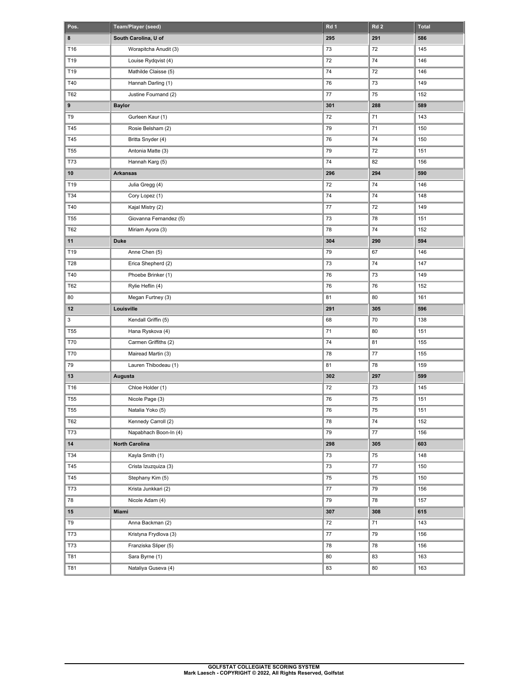| Pos.         | Team/Player (seed)     | Rd 1   | Rd <sub>2</sub> | <b>Total</b> |
|--------------|------------------------|--------|-----------------|--------------|
| 8            | South Carolina, U of   | 295    | 291             | 586          |
| T16          | Worapitcha Anudit (3)  | 73     | 72              | 145          |
| T19          | Louise Rydqvist (4)    | 72     | 74              | 146          |
| T19          | Mathilde Claisse (5)   | 74     | 72              | 146          |
| T40          | Hannah Darling (1)     | 76     | 73              | 149          |
| T62          | Justine Fournand (2)   | 77     | 75              | 152          |
| 9            | <b>Baylor</b>          | 301    | 288             | 589          |
| T9           | Gurleen Kaur (1)       | 72     | 71              | 143          |
| T45          | Rosie Belsham (2)      | 79     | 71              | 150          |
| T45          | Britta Snyder (4)      | 76     | 74              | 150          |
| <b>T55</b>   | Antonia Matte (3)      | 79     | 72              | 151          |
| T73          | Hannah Karg (5)        | 74     | 82              | 156          |
| 10           | <b>Arkansas</b>        | 296    | 294             | 590          |
| T19          | Julia Gregg (4)        | 72     | 74              | 146          |
| T34          | Cory Lopez (1)         | 74     | 74              | 148          |
| T40          | Kajal Mistry (2)       | 77     | 72              | 149          |
| <b>T55</b>   | Giovanna Fernandez (5) | 73     | 78              | 151          |
| T62          | Miriam Ayora (3)       | 78     | 74              | 152          |
| 11           | <b>Duke</b>            | 304    | 290             | 594          |
| T19          | Anne Chen (5)          | 79     | 67              | 146          |
| T28          | Erica Shepherd (2)     | 73     | 74              | 147          |
| T40          | Phoebe Brinker (1)     | 76     | 73              | 149          |
| <b>T62</b>   | Rylie Heflin (4)       | 76     | 76              | 152          |
| 80           | Megan Furtney (3)      | 81     | 80              | 161          |
| 12           | Louisville             | 291    | 305             | 596          |
| $\mathbf{3}$ | Kendall Griffin (5)    | 68     | 70              | 138          |
| <b>T55</b>   | Hana Ryskova (4)       | 71     | 80              | 151          |
| <b>T70</b>   | Carmen Griffiths (2)   | 74     | 81              | 155          |
| <b>T70</b>   | Mairead Martin (3)     | 78     | 77              | 155          |
| 79           | Lauren Thibodeau (1)   | 81     | 78              | 159          |
| 13           | Augusta                | 302    | 297             | 599          |
| T16          | Chloe Holder (1)       | 72     | 73              | 145          |
| <b>T55</b>   | Nicole Page (3)        | 76     | 75              | 151          |
| <b>T55</b>   | Natalia Yoko (5)       | 76     | 75              | 151          |
| T62          | Kennedy Carroll (2)    | 78     | 74              | 152          |
| T73          | Napabhach Boon-In (4)  | 79     | 77              | 156          |
| $14\,$       | North Carolina         | 298    | 305             | 603          |
| T34          | Kayla Smith (1)        | 73     | 75              | 148          |
| T45          | Crista Izuzquiza (3)   | 73     | $77\,$          | 150          |
| T45          | Stephany Kim (5)       | 75     | 75              | 150          |
| T73          | Krista Junkkari (2)    | 77     | 79              | 156          |
| 78           | Nicole Adam (4)        | 79     | 78              | 157          |
| 15           | Miami                  | 307    | 308             | 615          |
| T9           | Anna Backman (2)       | 72     | 71              | 143          |
| T73          | Kristyna Frydlova (3)  | $77\,$ | 79              | 156          |
| <b>T73</b>   | Franziska Sliper (5)   | 78     | 78              | 156          |
| <b>T81</b>   | Sara Byrne (1)         | 80     | 83              | 163          |
| <b>T81</b>   | Nataliya Guseva (4)    | 83     | 80              | 163          |
|              |                        |        |                 |              |